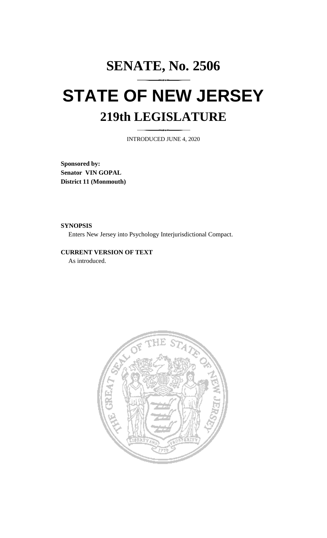# **SENATE, No. 2506 STATE OF NEW JERSEY 219th LEGISLATURE**

INTRODUCED JUNE 4, 2020

**Sponsored by: Senator VIN GOPAL District 11 (Monmouth)**

**SYNOPSIS**

Enters New Jersey into Psychology Interjurisdictional Compact.

# **CURRENT VERSION OF TEXT**  As introduced.

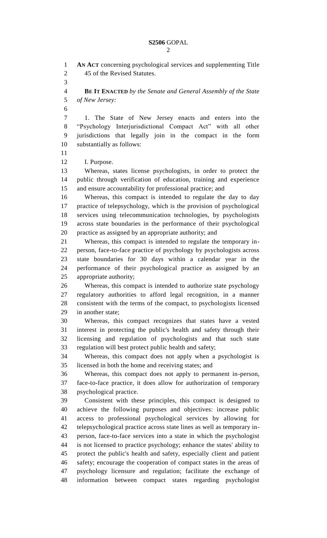**AN ACT** concerning psychological services and supplementing Title 45 of the Revised Statutes. **BE IT ENACTED** *by the Senate and General Assembly of the State of New Jersey:* 1. The State of New Jersey enacts and enters into the "Psychology Interjurisdictional Compact Act" with all other jurisdictions that legally join in the compact in the form substantially as follows: I. Purpose. Consistent with these principles, this compact is designed to

 Whereas, states license psychologists, in order to protect the public through verification of education, training and experience and ensure accountability for professional practice; and

 Whereas, this compact is intended to regulate the day to day practice of telepsychology, which is the provision of psychological services using telecommunication technologies, by psychologists across state boundaries in the performance of their psychological practice as assigned by an appropriate authority; and

 Whereas, this compact is intended to regulate the temporary in- person, face-to-face practice of psychology by psychologists across state boundaries for 30 days within a calendar year in the performance of their psychological practice as assigned by an appropriate authority;

 Whereas, this compact is intended to authorize state psychology regulatory authorities to afford legal recognition, in a manner consistent with the terms of the compact, to psychologists licensed in another state;

 Whereas, this compact recognizes that states have a vested interest in protecting the public's health and safety through their licensing and regulation of psychologists and that such state regulation will best protect public health and safety;

 Whereas, this compact does not apply when a psychologist is licensed in both the home and receiving states; and

 Whereas, this compact does not apply to permanent in-person, face-to-face practice, it does allow for authorization of temporary psychological practice.

 achieve the following purposes and objectives: increase public access to professional psychological services by allowing for telepsychological practice across state lines as well as temporary in- person, face-to-face services into a state in which the psychologist is not licensed to practice psychology; enhance the states' ability to protect the public's health and safety, especially client and patient safety; encourage the cooperation of compact states in the areas of psychology licensure and regulation; facilitate the exchange of information between compact states regarding psychologist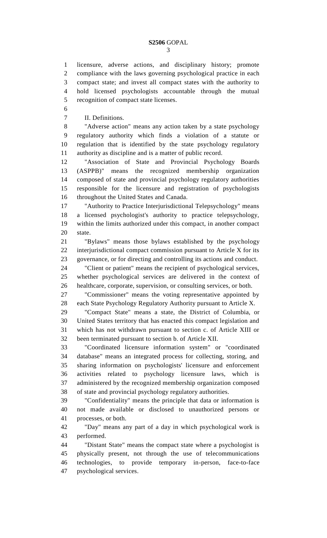licensure, adverse actions, and disciplinary history; promote compliance with the laws governing psychological practice in each compact state; and invest all compact states with the authority to hold licensed psychologists accountable through the mutual recognition of compact state licenses.

II. Definitions.

 "Adverse action" means any action taken by a state psychology regulatory authority which finds a violation of a statute or regulation that is identified by the state psychology regulatory authority as discipline and is a matter of public record.

 "Association of State and Provincial Psychology Boards (ASPPB)" means the recognized membership organization composed of state and provincial psychology regulatory authorities responsible for the licensure and registration of psychologists throughout the United States and Canada.

 "Authority to Practice Interjurisdictional Telepsychology" means a licensed psychologist's authority to practice telepsychology, within the limits authorized under this compact, in another compact state.

 "Bylaws" means those bylaws established by the psychology interjurisdictional compact commission pursuant to Article X for its governance, or for directing and controlling its actions and conduct.

 "Client or patient" means the recipient of psychological services, whether psychological services are delivered in the context of healthcare, corporate, supervision, or consulting services, or both.

 "Commissioner" means the voting representative appointed by each State Psychology Regulatory Authority pursuant to Article X.

 "Compact State" means a state, the District of Columbia, or United States territory that has enacted this compact legislation and which has not withdrawn pursuant to section c. of Article XIII or been terminated pursuant to section b. of Article XII.

 "Coordinated licensure information system" or "coordinated database" means an integrated process for collecting, storing, and sharing information on psychologists' licensure and enforcement activities related to psychology licensure laws, which is administered by the recognized membership organization composed of state and provincial psychology regulatory authorities.

 "Confidentiality" means the principle that data or information is not made available or disclosed to unauthorized persons or processes, or both.

 "Day" means any part of a day in which psychological work is performed.

 "Distant State" means the compact state where a psychologist is physically present, not through the use of telecommunications technologies, to provide temporary in-person, face-to-face psychological services.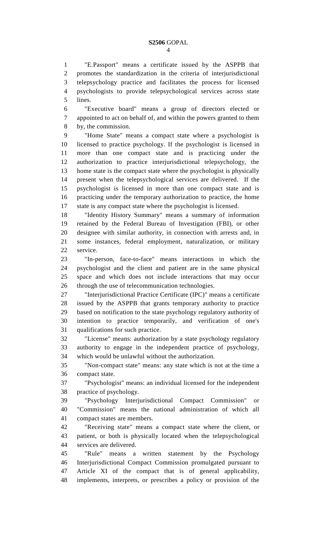"E.Passport" means a certificate issued by the ASPPB that promotes the standardization in the criteria of interjurisdictional telepsychology practice and facilitates the process for licensed psychologists to provide telepsychological services across state lines.

 "Executive board" means a group of directors elected or appointed to act on behalf of, and within the powers granted to them by, the commission.

 "Home State" means a compact state where a psychologist is licensed to practice psychology. If the psychologist is licensed in more than one compact state and is practicing under the authorization to practice interjurisdictional telepsychology, the home state is the compact state where the psychologist is physically present when the telepsychological services are delivered. If the psychologist is licensed in more than one compact state and is practicing under the temporary authorization to practice, the home state is any compact state where the psychologist is licensed.

 "Identity History Summary" means a summary of information retained by the Federal Bureau of Investigation (FBI), or other designee with similar authority, in connection with arrests and, in some instances, federal employment, naturalization, or military service.

 "In-person, face-to-face" means interactions in which the psychologist and the client and patient are in the same physical space and which does not include interactions that may occur through the use of telecommunication technologies.

 "Interjurisdictional Practice Certificate (IPC)" means a certificate issued by the ASPPB that grants temporary authority to practice based on notification to the state psychology regulatory authority of intention to practice temporarily, and verification of one's qualifications for such practice.

 "License" means: authorization by a state psychology regulatory authority to engage in the independent practice of psychology, which would be unlawful without the authorization.

 "Non-compact state" means: any state which is not at the time a compact state.

 "Psychologist" means: an individual licensed for the independent practice of psychology.

 "Psychology Interjurisdictional Compact Commission" or "Commission" means the national administration of which all compact states are members.

 "Receiving state" means a compact state where the client, or patient, or both is physically located when the telepsychological services are delivered.

 "Rule" means a written statement by the Psychology Interjurisdictional Compact Commission promulgated pursuant to Article XI of the compact that is of general applicability, implements, interprets, or prescribes a policy or provision of the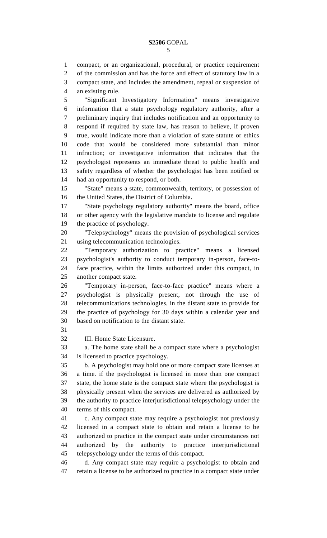compact, or an organizational, procedural, or practice requirement of the commission and has the force and effect of statutory law in a compact state, and includes the amendment, repeal or suspension of an existing rule.

 "Significant Investigatory Information" means investigative information that a state psychology regulatory authority, after a preliminary inquiry that includes notification and an opportunity to respond if required by state law, has reason to believe, if proven true, would indicate more than a violation of state statute or ethics code that would be considered more substantial than minor infraction; or investigative information that indicates that the psychologist represents an immediate threat to public health and safety regardless of whether the psychologist has been notified or had an opportunity to respond, or both.

 "State" means a state, commonwealth, territory, or possession of the United States, the District of Columbia.

 "State psychology regulatory authority" means the board, office or other agency with the legislative mandate to license and regulate the practice of psychology.

 "Telepsychology" means the provision of psychological services using telecommunication technologies.

 "Temporary authorization to practice" means a licensed psychologist's authority to conduct temporary in-person, face-to- face practice, within the limits authorized under this compact, in another compact state.

 "Temporary in-person, face-to-face practice" means where a psychologist is physically present, not through the use of telecommunications technologies, in the distant state to provide for the practice of psychology for 30 days within a calendar year and based on notification to the distant state.

III. Home State Licensure.

 a. The home state shall be a compact state where a psychologist is licensed to practice psychology.

 b. A psychologist may hold one or more compact state licenses at a time. if the psychologist is licensed in more than one compact state, the home state is the compact state where the psychologist is physically present when the services are delivered as authorized by the authority to practice interjurisdictional telepsychology under the terms of this compact.

 c. Any compact state may require a psychologist not previously licensed in a compact state to obtain and retain a license to be authorized to practice in the compact state under circumstances not authorized by the authority to practice interjurisdictional telepsychology under the terms of this compact.

 d. Any compact state may require a psychologist to obtain and retain a license to be authorized to practice in a compact state under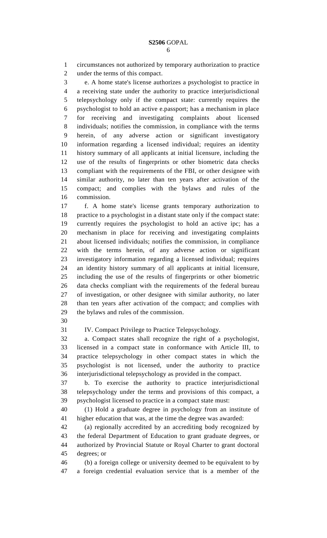circumstances not authorized by temporary authorization to practice under the terms of this compact.

 e. A home state's license authorizes a psychologist to practice in a receiving state under the authority to practice interjurisdictional telepsychology only if the compact state: currently requires the psychologist to hold an active e.passport; has a mechanism in place for receiving and investigating complaints about licensed individuals; notifies the commission, in compliance with the terms herein, of any adverse action or significant investigatory information regarding a licensed individual; requires an identity history summary of all applicants at initial licensure, including the use of the results of fingerprints or other biometric data checks compliant with the requirements of the FBI, or other designee with similar authority, no later than ten years after activation of the compact; and complies with the bylaws and rules of the commission.

 f. A home state's license grants temporary authorization to practice to a psychologist in a distant state only if the compact state: currently requires the psychologist to hold an active ipc; has a mechanism in place for receiving and investigating complaints about licensed individuals; notifies the commission, in compliance with the terms herein, of any adverse action or significant investigatory information regarding a licensed individual; requires an identity history summary of all applicants at initial licensure, including the use of the results of fingerprints or other biometric data checks compliant with the requirements of the federal bureau of investigation, or other designee with similar authority, no later than ten years after activation of the compact; and complies with the bylaws and rules of the commission.

IV. Compact Privilege to Practice Telepsychology.

 a. Compact states shall recognize the right of a psychologist, licensed in a compact state in conformance with Article III, to practice telepsychology in other compact states in which the psychologist is not licensed, under the authority to practice interjurisdictional telepsychology as provided in the compact.

 b. To exercise the authority to practice interjurisdictional telepsychology under the terms and provisions of this compact, a psychologist licensed to practice in a compact state must:

 (1) Hold a graduate degree in psychology from an institute of higher education that was, at the time the degree was awarded:

 (a) regionally accredited by an accrediting body recognized by the federal Department of Education to grant graduate degrees, or authorized by Provincial Statute or Royal Charter to grant doctoral degrees; or

 (b) a foreign college or university deemed to be equivalent to by a foreign credential evaluation service that is a member of the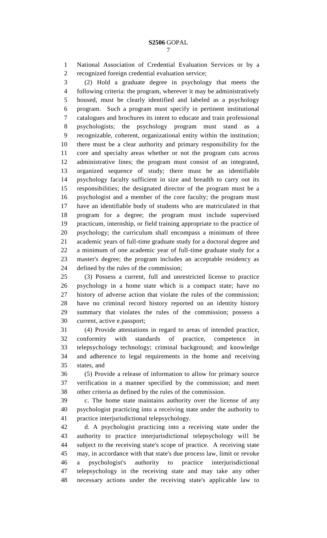National Association of Credential Evaluation Services or by a recognized foreign credential evaluation service;

 (2) Hold a graduate degree in psychology that meets the following criteria: the program, wherever it may be administratively housed, must be clearly identified and labeled as a psychology program. Such a program must specify in pertinent institutional catalogues and brochures its intent to educate and train professional psychologists; the psychology program must stand as a recognizable, coherent, organizational entity within the institution; there must be a clear authority and primary responsibility for the core and specialty areas whether or not the program cuts across administrative lines; the program must consist of an integrated, organized sequence of study; there must be an identifiable psychology faculty sufficient in size and breadth to carry out its responsibilities; the designated director of the program must be a psychologist and a member of the core faculty; the program must have an identifiable body of students who are matriculated in that program for a degree; the program must include supervised practicum, internship, or field training appropriate to the practice of psychology; the curriculum shall encompass a minimum of three academic years of full-time graduate study for a doctoral degree and a minimum of one academic year of full-time graduate study for a master's degree; the program includes an acceptable residency as defined by the rules of the commission;

 (3) Possess a current, full and unrestricted license to practice psychology in a home state which is a compact state; have no history of adverse action that violate the rules of the commission; have no criminal record history reported on an identity history summary that violates the rules of the commission; possess a current, active e.passport;

 (4) Provide attestations in regard to areas of intended practice, 32 conformity with standards of practice, competence telepsychology technology; criminal background; and knowledge and adherence to legal requirements in the home and receiving states, and

 (5) Provide a release of information to allow for primary source verification in a manner specified by the commission; and meet other criteria as defined by the rules of the commission.

 c. The home state maintains authority over the license of any psychologist practicing into a receiving state under the authority to practice interjurisdictional telepsychology.

 d. A psychologist practicing into a receiving state under the authority to practice interjurisdictional telepsychology will be subject to the receiving state's scope of practice. A receiving state may, in accordance with that state's due process law, limit or revoke a psychologist's authority to practice interjurisdictional telepsychology in the receiving state and may take any other necessary actions under the receiving state's applicable law to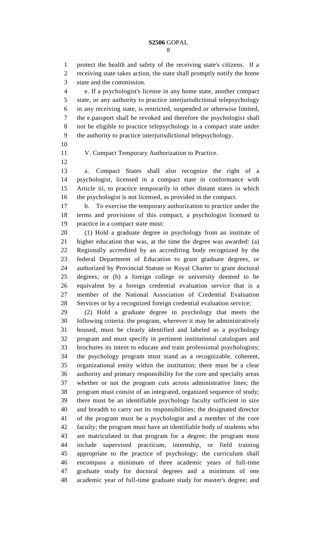protect the health and safety of the receiving state's citizens. If a receiving state takes action, the state shall promptly notify the home state and the commission.

 e. If a psychologist's license in any home state, another compact state, or any authority to practice interjurisdictional telepsychology in any receiving state, is restricted, suspended or otherwise limited, the e.passport shall be revoked and therefore the psychologist shall not be eligible to practice telepsychology in a compact state under the authority to practice interjurisdictional telepsychology.

V. Compact Temporary Authorization to Practice.

 a. Compact States shall also recognize the right of a psychologist, licensed in a compact state in conformance with Article iii, to practice temporarily in other distant states in which the psychologist is not licensed, as provided in the compact.

 b. To exercise the temporary authorization to practice under the terms and provisions of this compact, a psychologist licensed to practice in a compact state must:

 (1) Hold a graduate degree in psychology from an institute of higher education that was, at the time the degree was awarded: (a) Regionally accredited by an accrediting body recognized by the federal Department of Education to grant graduate degrees, or authorized by Provincial Statute or Royal Charter to grant doctoral degrees; or (b) a foreign college or university deemed to be equivalent by a foreign credential evaluation service that is a member of the National Association of Credential Evaluation Services or by a recognized foreign credential evaluation service;

 (2) Hold a graduate degree in psychology that meets the following criteria: the program, wherever it may be administratively housed, must be clearly identified and labeled as a psychology program and must specify in pertinent institutional catalogues and brochures its intent to educate and train professional psychologists; the psychology program must stand as a recognizable, coherent, organizational entity within the institution; there must be a clear authority and primary responsibility for the core and specialty areas whether or not the program cuts across administrative lines; the program must consist of an integrated, organized sequence of study; there must be an identifiable psychology faculty sufficient in size and breadth to carry out its responsibilities; the designated director of the program must be a psychologist and a member of the core faculty; the program must have an identifiable body of students who are matriculated in that program for a degree; the program must include supervised practicum, internship, or field training appropriate to the practice of psychology; the curriculum shall encompass a minimum of three academic years of full-time graduate study for doctoral degrees and a minimum of one academic year of full-time graduate study for master's degree; and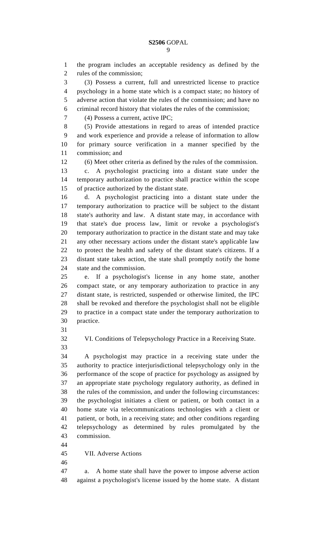the program includes an acceptable residency as defined by the rules of the commission; (3) Possess a current, full and unrestricted license to practice psychology in a home state which is a compact state; no history of adverse action that violate the rules of the commission; and have no criminal record history that violates the rules of the commission; (4) Possess a current, active IPC; (5) Provide attestations in regard to areas of intended practice and work experience and provide a release of information to allow for primary source verification in a manner specified by the commission; and (6) Meet other criteria as defined by the rules of the commission. c. A psychologist practicing into a distant state under the temporary authorization to practice shall practice within the scope of practice authorized by the distant state. d. A psychologist practicing into a distant state under the temporary authorization to practice will be subject to the distant state's authority and law. A distant state may, in accordance with that state's due process law, limit or revoke a psychologist's temporary authorization to practice in the distant state and may take any other necessary actions under the distant state's applicable law to protect the health and safety of the distant state's citizens. If a distant state takes action, the state shall promptly notify the home state and the commission. e. If a psychologist's license in any home state, another compact state, or any temporary authorization to practice in any distant state, is restricted, suspended or otherwise limited, the IPC shall be revoked and therefore the psychologist shall not be eligible to practice in a compact state under the temporary authorization to practice. VI. Conditions of Telepsychology Practice in a Receiving State. A psychologist may practice in a receiving state under the authority to practice interjurisdictional telepsychology only in the performance of the scope of practice for psychology as assigned by an appropriate state psychology regulatory authority, as defined in the rules of the commission, and under the following circumstances: the psychologist initiates a client or patient, or both contact in a home state via telecommunications technologies with a client or patient, or both, in a receiving state; and other conditions regarding telepsychology as determined by rules promulgated by the commission.

VII. Adverse Actions

 a. A home state shall have the power to impose adverse action against a psychologist's license issued by the home state. A distant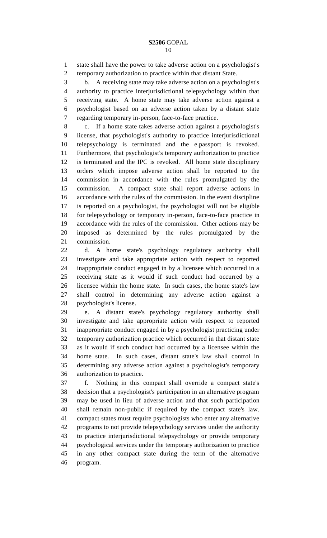state shall have the power to take adverse action on a psychologist's temporary authorization to practice within that distant State.

 b. A receiving state may take adverse action on a psychologist's authority to practice interjurisdictional telepsychology within that receiving state. A home state may take adverse action against a psychologist based on an adverse action taken by a distant state regarding temporary in-person, face-to-face practice.

 c. If a home state takes adverse action against a psychologist's license, that psychologist's authority to practice interjurisdictional telepsychology is terminated and the e.passport is revoked. Furthermore, that psychologist's temporary authorization to practice is terminated and the IPC is revoked. All home state disciplinary orders which impose adverse action shall be reported to the commission in accordance with the rules promulgated by the commission. A compact state shall report adverse actions in accordance with the rules of the commission. In the event discipline is reported on a psychologist, the psychologist will not be eligible for telepsychology or temporary in-person, face-to-face practice in accordance with the rules of the commission. Other actions may be imposed as determined by the rules promulgated by the commission.

 d. A home state's psychology regulatory authority shall investigate and take appropriate action with respect to reported inappropriate conduct engaged in by a licensee which occurred in a receiving state as it would if such conduct had occurred by a licensee within the home state. In such cases, the home state's law shall control in determining any adverse action against a psychologist's license.

 e. A distant state's psychology regulatory authority shall investigate and take appropriate action with respect to reported inappropriate conduct engaged in by a psychologist practicing under temporary authorization practice which occurred in that distant state as it would if such conduct had occurred by a licensee within the home state. In such cases, distant state's law shall control in determining any adverse action against a psychologist's temporary authorization to practice.

 f. Nothing in this compact shall override a compact state's decision that a psychologist's participation in an alternative program may be used in lieu of adverse action and that such participation shall remain non-public if required by the compact state's law. compact states must require psychologists who enter any alternative programs to not provide telepsychology services under the authority to practice interjurisdictional telepsychology or provide temporary psychological services under the temporary authorization to practice in any other compact state during the term of the alternative program.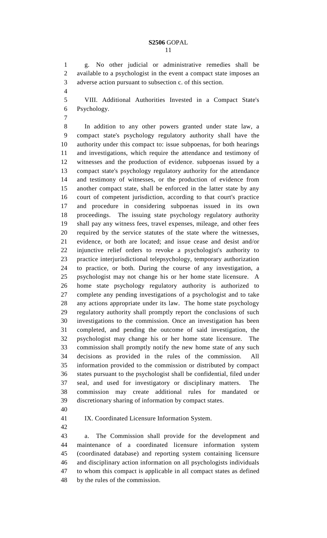g. No other judicial or administrative remedies shall be available to a psychologist in the event a compact state imposes an adverse action pursuant to subsection c. of this section.

- 
- VIII. Additional Authorities Invested in a Compact State's Psychology.
- 

 In addition to any other powers granted under state law, a compact state's psychology regulatory authority shall have the authority under this compact to: issue subpoenas, for both hearings and investigations, which require the attendance and testimony of witnesses and the production of evidence. subpoenas issued by a compact state's psychology regulatory authority for the attendance and testimony of witnesses, or the production of evidence from another compact state, shall be enforced in the latter state by any court of competent jurisdiction, according to that court's practice and procedure in considering subpoenas issued in its own proceedings. The issuing state psychology regulatory authority shall pay any witness fees, travel expenses, mileage, and other fees required by the service statutes of the state where the witnesses, evidence, or both are located; and issue cease and desist and/or injunctive relief orders to revoke a psychologist's authority to practice interjurisdictional telepsychology, temporary authorization to practice, or both. During the course of any investigation, a psychologist may not change his or her home state licensure. A home state psychology regulatory authority is authorized to complete any pending investigations of a psychologist and to take any actions appropriate under its law. The home state psychology regulatory authority shall promptly report the conclusions of such investigations to the commission. Once an investigation has been completed, and pending the outcome of said investigation, the psychologist may change his or her home state licensure. The commission shall promptly notify the new home state of any such decisions as provided in the rules of the commission. All information provided to the commission or distributed by compact states pursuant to the psychologist shall be confidential, filed under seal, and used for investigatory or disciplinary matters. The commission may create additional rules for mandated or discretionary sharing of information by compact states.

IX. Coordinated Licensure Information System.

 a. The Commission shall provide for the development and maintenance of a coordinated licensure information system (coordinated database) and reporting system containing licensure and disciplinary action information on all psychologists individuals to whom this compact is applicable in all compact states as defined by the rules of the commission.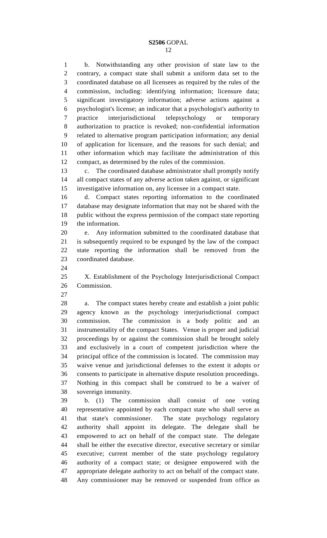b. Notwithstanding any other provision of state law to the contrary, a compact state shall submit a uniform data set to the coordinated database on all licensees as required by the rules of the commission, including: identifying information; licensure data; significant investigatory information; adverse actions against a psychologist's license; an indicator that a psychologist's authority to practice interjurisdictional telepsychology or temporary authorization to practice is revoked; non-confidential information related to alternative program participation information; any denial of application for licensure, and the reasons for such denial; and other information which may facilitate the administration of this compact, as determined by the rules of the commission.

 c. The coordinated database administrator shall promptly notify all compact states of any adverse action taken against, or significant investigative information on, any licensee in a compact state.

 d. Compact states reporting information to the coordinated database may designate information that may not be shared with the public without the express permission of the compact state reporting the information.

 e. Any information submitted to the coordinated database that is subsequently required to be expunged by the law of the compact state reporting the information shall be removed from the coordinated database.

 X. Establishment of the Psychology Interjurisdictional Compact Commission.

 a. The compact states hereby create and establish a joint public agency known as the psychology interjurisdictional compact commission. The commission is a body politic and an instrumentality of the compact States. Venue is proper and judicial proceedings by or against the commission shall be brought solely and exclusively in a court of competent jurisdiction where the principal office of the commission is located. The commission may waive venue and jurisdictional defenses to the extent it adopts or consents to participate in alternative dispute resolution proceedings. Nothing in this compact shall be construed to be a waiver of sovereign immunity.

 b. (1) The commission shall consist of one voting representative appointed by each compact state who shall serve as that state's commissioner. The state psychology regulatory authority shall appoint its delegate. The delegate shall be empowered to act on behalf of the compact state. The delegate shall be either the executive director, executive secretary or similar executive; current member of the state psychology regulatory authority of a compact state; or designee empowered with the appropriate delegate authority to act on behalf of the compact state. Any commissioner may be removed or suspended from office as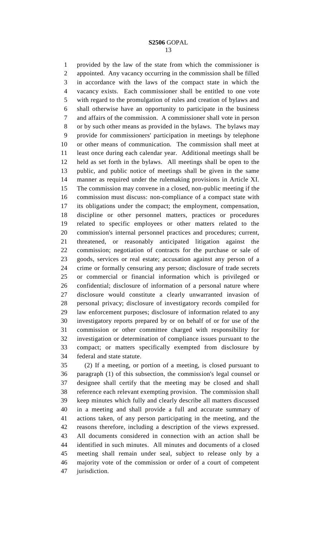provided by the law of the state from which the commissioner is appointed. Any vacancy occurring in the commission shall be filled in accordance with the laws of the compact state in which the vacancy exists. Each commissioner shall be entitled to one vote with regard to the promulgation of rules and creation of bylaws and shall otherwise have an opportunity to participate in the business and affairs of the commission. A commissioner shall vote in person or by such other means as provided in the bylaws. The bylaws may provide for commissioners' participation in meetings by telephone or other means of communication. The commission shall meet at least once during each calendar year. Additional meetings shall be held as set forth in the bylaws. All meetings shall be open to the public, and public notice of meetings shall be given in the same manner as required under the rulemaking provisions in Article XI. The commission may convene in a closed, non-public meeting if the commission must discuss: non-compliance of a compact state with its obligations under the compact; the employment, compensation, discipline or other personnel matters, practices or procedures related to specific employees or other matters related to the commission's internal personnel practices and procedures; current, threatened, or reasonably anticipated litigation against the commission; negotiation of contracts for the purchase or sale of goods, services or real estate; accusation against any person of a crime or formally censuring any person; disclosure of trade secrets or commercial or financial information which is privileged or confidential; disclosure of information of a personal nature where disclosure would constitute a clearly unwarranted invasion of personal privacy; disclosure of investigatory records compiled for law enforcement purposes; disclosure of information related to any investigatory reports prepared by or on behalf of or for use of the commission or other committee charged with responsibility for investigation or determination of compliance issues pursuant to the compact; or matters specifically exempted from disclosure by federal and state statute.

 (2) If a meeting, or portion of a meeting, is closed pursuant to paragraph (1) of this subsection, the commission's legal counsel or designee shall certify that the meeting may be closed and shall reference each relevant exempting provision. The commission shall keep minutes which fully and clearly describe all matters discussed in a meeting and shall provide a full and accurate summary of actions taken, of any person participating in the meeting, and the reasons therefore, including a description of the views expressed. All documents considered in connection with an action shall be identified in such minutes. All minutes and documents of a closed meeting shall remain under seal, subject to release only by a majority vote of the commission or order of a court of competent jurisdiction.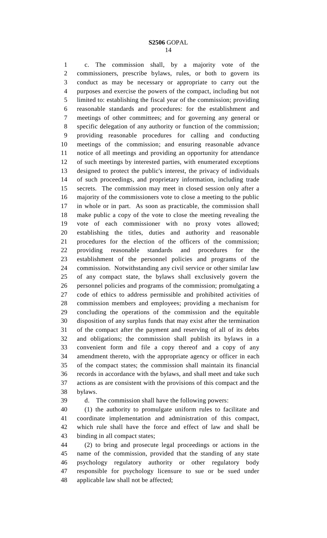c. The commission shall, by a majority vote of the commissioners, prescribe bylaws, rules, or both to govern its conduct as may be necessary or appropriate to carry out the purposes and exercise the powers of the compact, including but not limited to: establishing the fiscal year of the commission; providing reasonable standards and procedures: for the establishment and meetings of other committees; and for governing any general or specific delegation of any authority or function of the commission; providing reasonable procedures for calling and conducting meetings of the commission; and ensuring reasonable advance notice of all meetings and providing an opportunity for attendance of such meetings by interested parties, with enumerated exceptions designed to protect the public's interest, the privacy of individuals of such proceedings, and proprietary information, including trade secrets. The commission may meet in closed session only after a majority of the commissioners vote to close a meeting to the public in whole or in part. As soon as practicable, the commission shall make public a copy of the vote to close the meeting revealing the vote of each commissioner with no proxy votes allowed; establishing the titles, duties and authority and reasonable procedures for the election of the officers of the commission; providing reasonable standards and procedures for the establishment of the personnel policies and programs of the commission. Notwithstanding any civil service or other similar law of any compact state, the bylaws shall exclusively govern the personnel policies and programs of the commission; promulgating a code of ethics to address permissible and prohibited activities of commission members and employees; providing a mechanism for concluding the operations of the commission and the equitable disposition of any surplus funds that may exist after the termination of the compact after the payment and reserving of all of its debts and obligations; the commission shall publish its bylaws in a convenient form and file a copy thereof and a copy of any amendment thereto, with the appropriate agency or officer in each of the compact states; the commission shall maintain its financial records in accordance with the bylaws, and shall meet and take such actions as are consistent with the provisions of this compact and the bylaws.

d. The commission shall have the following powers:

 (1) the authority to promulgate uniform rules to facilitate and coordinate implementation and administration of this compact, which rule shall have the force and effect of law and shall be binding in all compact states;

 (2) to bring and prosecute legal proceedings or actions in the name of the commission, provided that the standing of any state psychology regulatory authority or other regulatory body responsible for psychology licensure to sue or be sued under applicable law shall not be affected;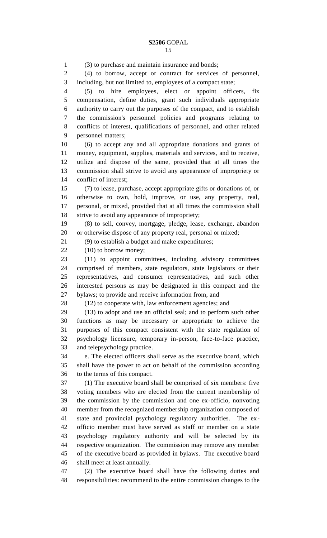(3) to purchase and maintain insurance and bonds; (4) to borrow, accept or contract for services of personnel, including, but not limited to, employees of a compact state; (5) to hire employees, elect or appoint officers, fix compensation, define duties, grant such individuals appropriate authority to carry out the purposes of the compact, and to establish the commission's personnel policies and programs relating to conflicts of interest, qualifications of personnel, and other related personnel matters; (6) to accept any and all appropriate donations and grants of money, equipment, supplies, materials and services, and to receive, utilize and dispose of the same, provided that at all times the commission shall strive to avoid any appearance of impropriety or conflict of interest; (7) to lease, purchase, accept appropriate gifts or donations of, or otherwise to own, hold, improve, or use, any property, real, personal, or mixed, provided that at all times the commission shall strive to avoid any appearance of impropriety; (8) to sell, convey, mortgage, pledge, lease, exchange, abandon or otherwise dispose of any property real, personal or mixed; (9) to establish a budget and make expenditures; 22 (10) to borrow money; (11) to appoint committees, including advisory committees comprised of members, state regulators, state legislators or their representatives, and consumer representatives, and such other interested persons as may be designated in this compact and the bylaws; to provide and receive information from, and (12) to cooperate with, law enforcement agencies; and (13) to adopt and use an official seal; and to perform such other functions as may be necessary or appropriate to achieve the purposes of this compact consistent with the state regulation of psychology licensure, temporary in-person, face-to-face practice, and telepsychology practice. e. The elected officers shall serve as the executive board, which shall have the power to act on behalf of the commission according to the terms of this compact. (1) The executive board shall be comprised of six members: five voting members who are elected from the current membership of the commission by the commission and one ex-officio, nonvoting member from the recognized membership organization composed of state and provincial psychology regulatory authorities. The ex- officio member must have served as staff or member on a state psychology regulatory authority and will be selected by its respective organization. The commission may remove any member of the executive board as provided in bylaws. The executive board shall meet at least annually.

 (2) The executive board shall have the following duties and responsibilities: recommend to the entire commission changes to the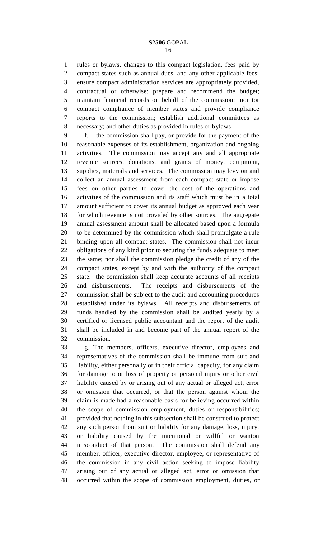rules or bylaws, changes to this compact legislation, fees paid by compact states such as annual dues, and any other applicable fees; ensure compact administration services are appropriately provided, contractual or otherwise; prepare and recommend the budget; maintain financial records on behalf of the commission; monitor compact compliance of member states and provide compliance reports to the commission; establish additional committees as necessary; and other duties as provided in rules or bylaws.

 f. the commission shall pay, or provide for the payment of the reasonable expenses of its establishment, organization and ongoing activities. The commission may accept any and all appropriate revenue sources, donations, and grants of money, equipment, supplies, materials and services. The commission may levy on and collect an annual assessment from each compact state or impose fees on other parties to cover the cost of the operations and activities of the commission and its staff which must be in a total amount sufficient to cover its annual budget as approved each year for which revenue is not provided by other sources. The aggregate annual assessment amount shall be allocated based upon a formula to be determined by the commission which shall promulgate a rule binding upon all compact states. The commission shall not incur obligations of any kind prior to securing the funds adequate to meet the same; nor shall the commission pledge the credit of any of the compact states, except by and with the authority of the compact state. the commission shall keep accurate accounts of all receipts and disbursements. The receipts and disbursements of the commission shall be subject to the audit and accounting procedures established under its bylaws. All receipts and disbursements of funds handled by the commission shall be audited yearly by a certified or licensed public accountant and the report of the audit shall be included in and become part of the annual report of the commission.

 g. The members, officers, executive director, employees and representatives of the commission shall be immune from suit and liability, either personally or in their official capacity, for any claim for damage to or loss of property or personal injury or other civil liability caused by or arising out of any actual or alleged act, error or omission that occurred, or that the person against whom the claim is made had a reasonable basis for believing occurred within the scope of commission employment, duties or responsibilities; provided that nothing in this subsection shall be construed to protect any such person from suit or liability for any damage, loss, injury, or liability caused by the intentional or willful or wanton misconduct of that person. The commission shall defend any member, officer, executive director, employee, or representative of the commission in any civil action seeking to impose liability arising out of any actual or alleged act, error or omission that occurred within the scope of commission employment, duties, or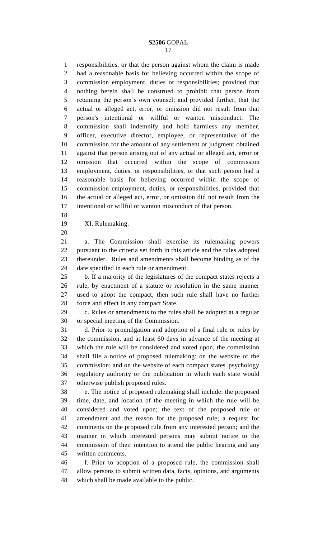responsibilities, or that the person against whom the claim is made had a reasonable basis for believing occurred within the scope of commission employment, duties or responsibilities; provided that nothing herein shall be construed to prohibit that person from retaining the person's own counsel; and provided further, that the actual or alleged act, error, or omission did not result from that person's intentional or willful or wanton misconduct. The commission shall indemnify and hold harmless any member, officer, executive director, employee, or representative of the commission for the amount of any settlement or judgment obtained against that person arising out of any actual or alleged act, error or omission that occurred within the scope of commission employment, duties, or responsibilities, or that such person had a reasonable basis for believing occurred within the scope of commission employment, duties, or responsibilities, provided that the actual or alleged act, error, or omission did not result from the intentional or willful or wanton misconduct of that person.

XI. Rulemaking.

 a. The Commission shall exercise its rulemaking powers pursuant to the criteria set forth in this article and the rules adopted thereunder. Rules and amendments shall become binding as of the date specified in each rule or amendment.

 b. If a majority of the legislatures of the compact states rejects a rule, by enactment of a statute or resolution in the same manner used to adopt the compact, then such rule shall have no further force and effect in any compact State.

 c. Rules or amendments to the rules shall be adopted at a regular or special meeting of the Commission.

 d. Prior to promulgation and adoption of a final rule or rules by the commission, and at least 60 days in advance of the meeting at which the rule will be considered and voted upon, the commission shall file a notice of proposed rulemaking: on the website of the commission; and on the website of each compact states' psychology regulatory authority or the publication in which each state would otherwise publish proposed rules.

 e. The notice of proposed rulemaking shall include: the proposed time, date, and location of the meeting in which the rule will be considered and voted upon; the text of the proposed rule or amendment and the reason for the proposed rule; a request for comments on the proposed rule from any interested person; and the manner in which interested persons may submit notice to the commission of their intention to attend the public hearing and any written comments.

 f. Prior to adoption of a proposed rule, the commission shall allow persons to submit written data, facts, opinions, and arguments which shall be made available to the public.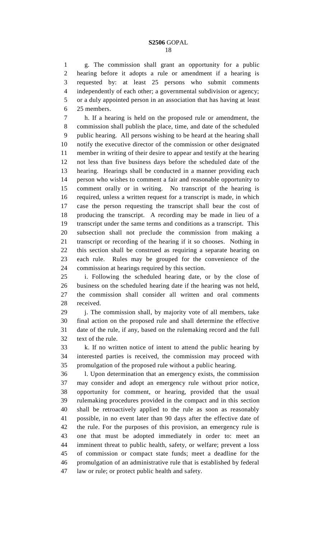g. The commission shall grant an opportunity for a public hearing before it adopts a rule or amendment if a hearing is requested by: at least 25 persons who submit comments independently of each other; a governmental subdivision or agency; or a duly appointed person in an association that has having at least

25 members.

 h. If a hearing is held on the proposed rule or amendment, the commission shall publish the place, time, and date of the scheduled public hearing. All persons wishing to be heard at the hearing shall notify the executive director of the commission or other designated member in writing of their desire to appear and testify at the hearing not less than five business days before the scheduled date of the hearing. Hearings shall be conducted in a manner providing each person who wishes to comment a fair and reasonable opportunity to comment orally or in writing. No transcript of the hearing is required, unless a written request for a transcript is made, in which case the person requesting the transcript shall bear the cost of producing the transcript. A recording may be made in lieu of a transcript under the same terms and conditions as a transcript. This subsection shall not preclude the commission from making a transcript or recording of the hearing if it so chooses. Nothing in this section shall be construed as requiring a separate hearing on each rule. Rules may be grouped for the convenience of the commission at hearings required by this section.

 i. Following the scheduled hearing date, or by the close of business on the scheduled hearing date if the hearing was not held, the commission shall consider all written and oral comments received.

29 i. The commission shall, by majority vote of all members, take final action on the proposed rule and shall determine the effective date of the rule, if any, based on the rulemaking record and the full text of the rule.

 k. If no written notice of intent to attend the public hearing by interested parties is received, the commission may proceed with promulgation of the proposed rule without a public hearing.

 l. Upon determination that an emergency exists, the commission may consider and adopt an emergency rule without prior notice, opportunity for comment, or hearing, provided that the usual rulemaking procedures provided in the compact and in this section shall be retroactively applied to the rule as soon as reasonably possible, in no event later than 90 days after the effective date of the rule. For the purposes of this provision, an emergency rule is one that must be adopted immediately in order to: meet an imminent threat to public health, safety, or welfare; prevent a loss of commission or compact state funds; meet a deadline for the promulgation of an administrative rule that is established by federal law or rule; or protect public health and safety.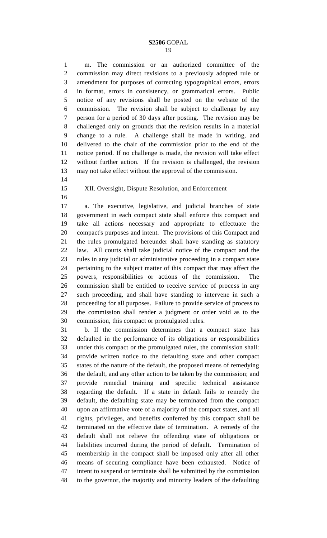m. The commission or an authorized committee of the commission may direct revisions to a previously adopted rule or amendment for purposes of correcting typographical errors, errors in format, errors in consistency, or grammatical errors. Public notice of any revisions shall be posted on the website of the commission. The revision shall be subject to challenge by any person for a period of 30 days after posting. The revision may be challenged only on grounds that the revision results in a material change to a rule. A challenge shall be made in writing, and delivered to the chair of the commission prior to the end of the notice period. If no challenge is made, the revision will take effect without further action. If the revision is challenged, the revision may not take effect without the approval of the commission.

## XII. Oversight, Dispute Resolution, and Enforcement

 a. The executive, legislative, and judicial branches of state government in each compact state shall enforce this compact and take all actions necessary and appropriate to effectuate the compact's purposes and intent. The provisions of this Compact and the rules promulgated hereunder shall have standing as statutory law. All courts shall take judicial notice of the compact and the rules in any judicial or administrative proceeding in a compact state pertaining to the subject matter of this compact that may affect the powers, responsibilities or actions of the commission. The commission shall be entitled to receive service of process in any such proceeding, and shall have standing to intervene in such a proceeding for all purposes. Failure to provide service of process to the commission shall render a judgment or order void as to the commission, this compact or promulgated rules.

 b. If the commission determines that a compact state has defaulted in the performance of its obligations or responsibilities under this compact or the promulgated rules, the commission shall: provide written notice to the defaulting state and other compact states of the nature of the default, the proposed means of remedying the default, and any other action to be taken by the commission; and provide remedial training and specific technical assistance regarding the default. If a state in default fails to remedy the default, the defaulting state may be terminated from the compact upon an affirmative vote of a majority of the compact states, and all rights, privileges, and benefits conferred by this compact shall be terminated on the effective date of termination. A remedy of the default shall not relieve the offending state of obligations or liabilities incurred during the period of default. Termination of membership in the compact shall be imposed only after all other means of securing compliance have been exhausted. Notice of intent to suspend or terminate shall be submitted by the commission to the governor, the majority and minority leaders of the defaulting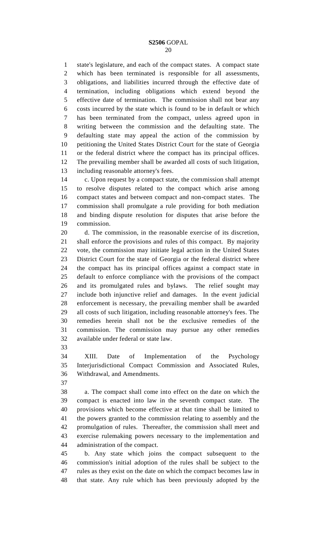state's legislature, and each of the compact states. A compact state which has been terminated is responsible for all assessments, obligations, and liabilities incurred through the effective date of termination, including obligations which extend beyond the effective date of termination. The commission shall not bear any costs incurred by the state which is found to be in default or which has been terminated from the compact, unless agreed upon in writing between the commission and the defaulting state. The defaulting state may appeal the action of the commission by petitioning the United States District Court for the state of Georgia or the federal district where the compact has its principal offices. The prevailing member shall be awarded all costs of such litigation, including reasonable attorney's fees.

 c. Upon request by a compact state, the commission shall attempt to resolve disputes related to the compact which arise among compact states and between compact and non-compact states. The commission shall promulgate a rule providing for both mediation and binding dispute resolution for disputes that arise before the commission.

 d. The commission, in the reasonable exercise of its discretion, shall enforce the provisions and rules of this compact. By majority vote, the commission may initiate legal action in the United States District Court for the state of Georgia or the federal district where the compact has its principal offices against a compact state in default to enforce compliance with the provisions of the compact and its promulgated rules and bylaws. The relief sought may include both injunctive relief and damages. In the event judicial enforcement is necessary, the prevailing member shall be awarded all costs of such litigation, including reasonable attorney's fees. The remedies herein shall not be the exclusive remedies of the commission. The commission may pursue any other remedies available under federal or state law.

 XIII. Date of Implementation of the Psychology Interjurisdictional Compact Commission and Associated Rules, Withdrawal, and Amendments.

 a. The compact shall come into effect on the date on which the compact is enacted into law in the seventh compact state. The provisions which become effective at that time shall be limited to the powers granted to the commission relating to assembly and the promulgation of rules. Thereafter, the commission shall meet and exercise rulemaking powers necessary to the implementation and administration of the compact.

 b. Any state which joins the compact subsequent to the commission's initial adoption of the rules shall be subject to the rules as they exist on the date on which the compact becomes law in that state. Any rule which has been previously adopted by the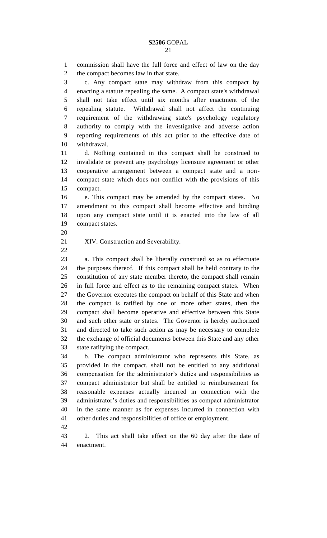commission shall have the full force and effect of law on the day the compact becomes law in that state. c. Any compact state may withdraw from this compact by enacting a statute repealing the same. A compact state's withdrawal shall not take effect until six months after enactment of the repealing statute. Withdrawal shall not affect the continuing requirement of the withdrawing state's psychology regulatory authority to comply with the investigative and adverse action reporting requirements of this act prior to the effective date of withdrawal. d. Nothing contained in this compact shall be construed to invalidate or prevent any psychology licensure agreement or other cooperative arrangement between a compact state and a non- compact state which does not conflict with the provisions of this compact. e. This compact may be amended by the compact states. No amendment to this compact shall become effective and binding upon any compact state until it is enacted into the law of all compact states. XIV. Construction and Severability. a. This compact shall be liberally construed so as to effectuate the purposes thereof. If this compact shall be held contrary to the constitution of any state member thereto, the compact shall remain in full force and effect as to the remaining compact states. When the Governor executes the compact on behalf of this State and when the compact is ratified by one or more other states, then the compact shall become operative and effective between this State and such other state or states. The Governor is hereby authorized and directed to take such action as may be necessary to complete

 compact administrator but shall be entitled to reimbursement for reasonable expenses actually incurred in connection with the

state ratifying the compact.

 in the same manner as for expenses incurred in connection with other duties and responsibilities of office or employment.

 2. This act shall take effect on the 60 day after the date of enactment.

administrator's duties and responsibilities as compact administrator

the exchange of official documents between this State and any other

 b. The compact administrator who represents this State, as provided in the compact, shall not be entitled to any additional compensation for the administrator's duties and responsibilities as